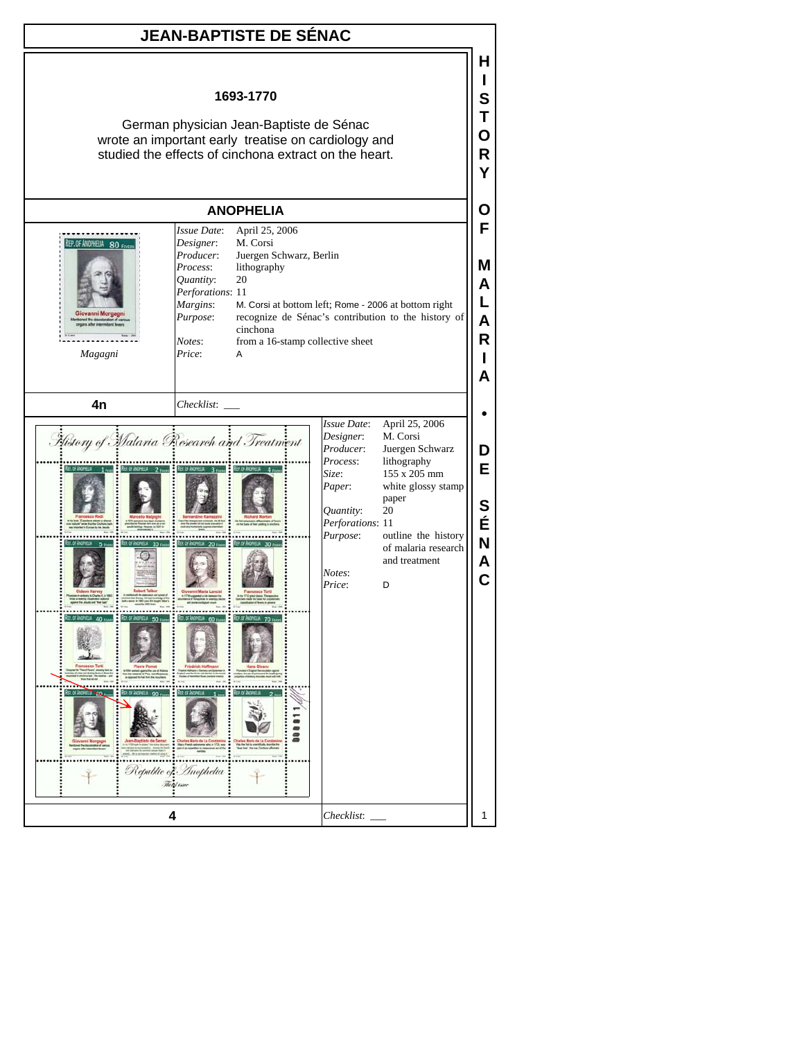